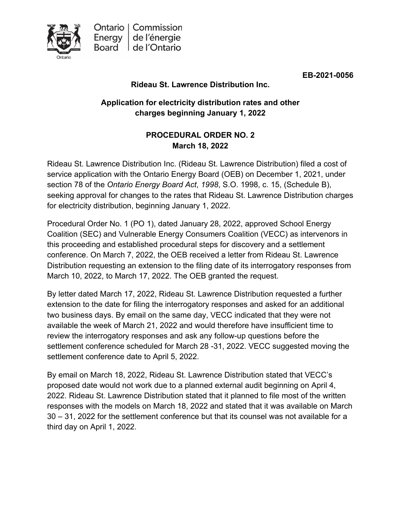

**EB-2021-0056**

### **Rideau St. Lawrence Distribution Inc.**

# **Application for electricity distribution rates and other charges beginning January 1, 2022**

## **PROCEDURAL ORDER NO. 2 March 18, 2022**

Rideau St. Lawrence Distribution Inc. (Rideau St. Lawrence Distribution) filed a cost of service application with the Ontario Energy Board (OEB) on December 1, 2021, under section 78 of the *Ontario Energy Board Act*, *1998*, S.O. 1998, c. 15, (Schedule B), seeking approval for changes to the rates that Rideau St. Lawrence Distribution charges for electricity distribution, beginning January 1, 2022.

Procedural Order No. 1 (PO 1), dated January 28, 2022, approved School Energy Coalition (SEC) and Vulnerable Energy Consumers Coalition (VECC) as intervenors in this proceeding and established procedural steps for discovery and a settlement conference. On March 7, 2022, the OEB received a letter from Rideau St. Lawrence Distribution requesting an extension to the filing date of its interrogatory responses from March 10, 2022, to March 17, 2022. The OEB granted the request.

By letter dated March 17, 2022, Rideau St. Lawrence Distribution requested a further extension to the date for filing the interrogatory responses and asked for an additional two business days. By email on the same day, VECC indicated that they were not available the week of March 21, 2022 and would therefore have insufficient time to review the interrogatory responses and ask any follow-up questions before the settlement conference scheduled for March 28 -31, 2022. VECC suggested moving the settlement conference date to April 5, 2022.

By email on March 18, 2022, Rideau St. Lawrence Distribution stated that VECC's proposed date would not work due to a planned external audit beginning on April 4, 2022. Rideau St. Lawrence Distribution stated that it planned to file most of the written responses with the models on March 18, 2022 and stated that it was available on March 30 – 31, 2022 for the settlement conference but that its counsel was not available for a third day on April 1, 2022.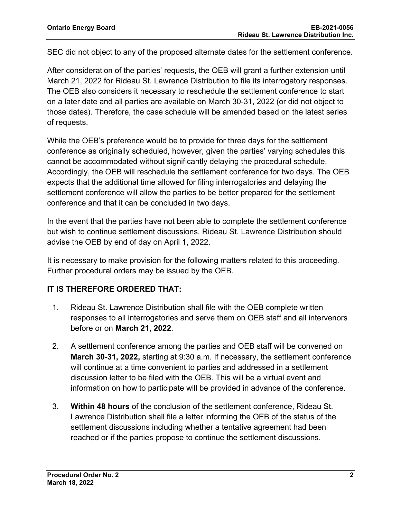SEC did not object to any of the proposed alternate dates for the settlement conference.

After consideration of the parties' requests, the OEB will grant a further extension until March 21, 2022 for Rideau St. Lawrence Distribution to file its interrogatory responses. The OEB also considers it necessary to reschedule the settlement conference to start on a later date and all parties are available on March 30-31, 2022 (or did not object to those dates). Therefore, the case schedule will be amended based on the latest series of requests.

While the OEB's preference would be to provide for three days for the settlement conference as originally scheduled, however, given the parties' varying schedules this cannot be accommodated without significantly delaying the procedural schedule. Accordingly, the OEB will reschedule the settlement conference for two days. The OEB expects that the additional time allowed for filing interrogatories and delaying the settlement conference will allow the parties to be better prepared for the settlement conference and that it can be concluded in two days.

In the event that the parties have not been able to complete the settlement conference but wish to continue settlement discussions, Rideau St. Lawrence Distribution should advise the OEB by end of day on April 1, 2022.

It is necessary to make provision for the following matters related to this proceeding. Further procedural orders may be issued by the OEB.

#### **IT IS THEREFORE ORDERED THAT:**

- 1. Rideau St. Lawrence Distribution shall file with the OEB complete written responses to all interrogatories and serve them on OEB staff and all intervenors before or on **March 21, 2022**.
- 2. A settlement conference among the parties and OEB staff will be convened on **March 30-31, 2022,** starting at 9:30 a.m. If necessary, the settlement conference will continue at a time convenient to parties and addressed in a settlement discussion letter to be filed with the OEB. This will be a virtual event and information on how to participate will be provided in advance of the conference.
- 3. **Within 48 hours** of the conclusion of the settlement conference, Rideau St. Lawrence Distribution shall file a letter informing the OEB of the status of the settlement discussions including whether a tentative agreement had been reached or if the parties propose to continue the settlement discussions.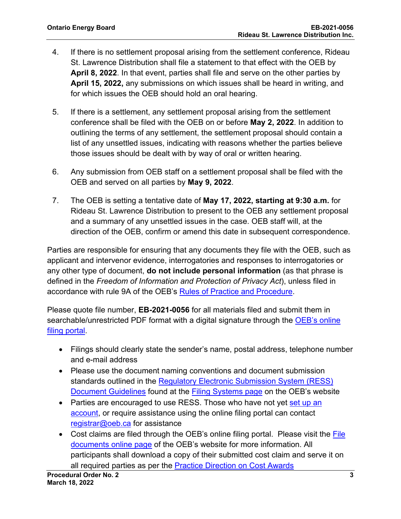- 4. If there is no settlement proposal arising from the settlement conference, Rideau St. Lawrence Distribution shall file a statement to that effect with the OEB by **April 8, 2022**. In that event, parties shall file and serve on the other parties by **April 15, 2022,** any submissions on which issues shall be heard in writing, and for which issues the OEB should hold an oral hearing.
- 5. If there is a settlement, any settlement proposal arising from the settlement conference shall be filed with the OEB on or before **May 2, 2022**. In addition to outlining the terms of any settlement, the settlement proposal should contain a list of any unsettled issues, indicating with reasons whether the parties believe those issues should be dealt with by way of oral or written hearing.
- 6. Any submission from OEB staff on a settlement proposal shall be filed with the OEB and served on all parties by **May 9, 2022**.
- 7. The OEB is setting a tentative date of **May 17, 2022, starting at 9:30 a.m.** for Rideau St. Lawrence Distribution to present to the OEB any settlement proposal and a summary of any unsettled issues in the case. OEB staff will, at the direction of the OEB, confirm or amend this date in subsequent correspondence.

Parties are responsible for ensuring that any documents they file with the OEB, such as applicant and intervenor evidence, interrogatories and responses to interrogatories or any other type of document, **do not include personal information** (as that phrase is defined in the *Freedom of Information and Protection of Privacy Act*), unless filed in accordance with rule 9A of the OEB's [Rules of Practice and Procedure.](https://www.oeb.ca/industry/rules-codes-and-requirements/rules-practice-procedure)

Please quote file number, **EB-2021-0056** for all materials filed and submit them in searchable/unrestricted PDF format with a digital signature through the OEB's online [filing portal.](https://p-pes.ontarioenergyboard.ca/PivotalUX/)

- Filings should clearly state the sender's name, postal address, telephone number and e-mail address
- Please use the document naming conventions and document submission standards outlined in the Regulatory Electronic [Submission System \(RESS\)](https://www.oeb.ca/sites/default/files/RESS-Document-Guidelines-202006.pdf)  [Document Guidelines](https://www.oeb.ca/sites/default/files/RESS-Document-Guidelines-202006.pdf) found at the [Filing Systems page](https://www.oeb.ca/industry/tools-resources-and-links/filing-systems) on the OEB's website
- Parties are encouraged to use RESS. Those who have not yet set up an [account,](https://www.oeb.ca/oeb/_Documents/e-Filing/Electronic_User_Form.pdf?v=20200331) or require assistance using the online filing portal can contact [registrar@oeb.ca](mailto:registrar@oeb.ca) for assistance
- Cost claims are filed through the OEB's online filing portal. Please visit the File [documents online page](https://www.oeb.ca/regulatory-rules-and-documents/file-documents-online) of the OEB's website for more information. All participants shall download a copy of their submitted cost claim and serve it on all required parties as per the [Practice Direction on Cost Awards](https://www.oeb.ca/regulatory-rules-and-documents/rules-codes-and-requirements/practice-direction-cost-awards)